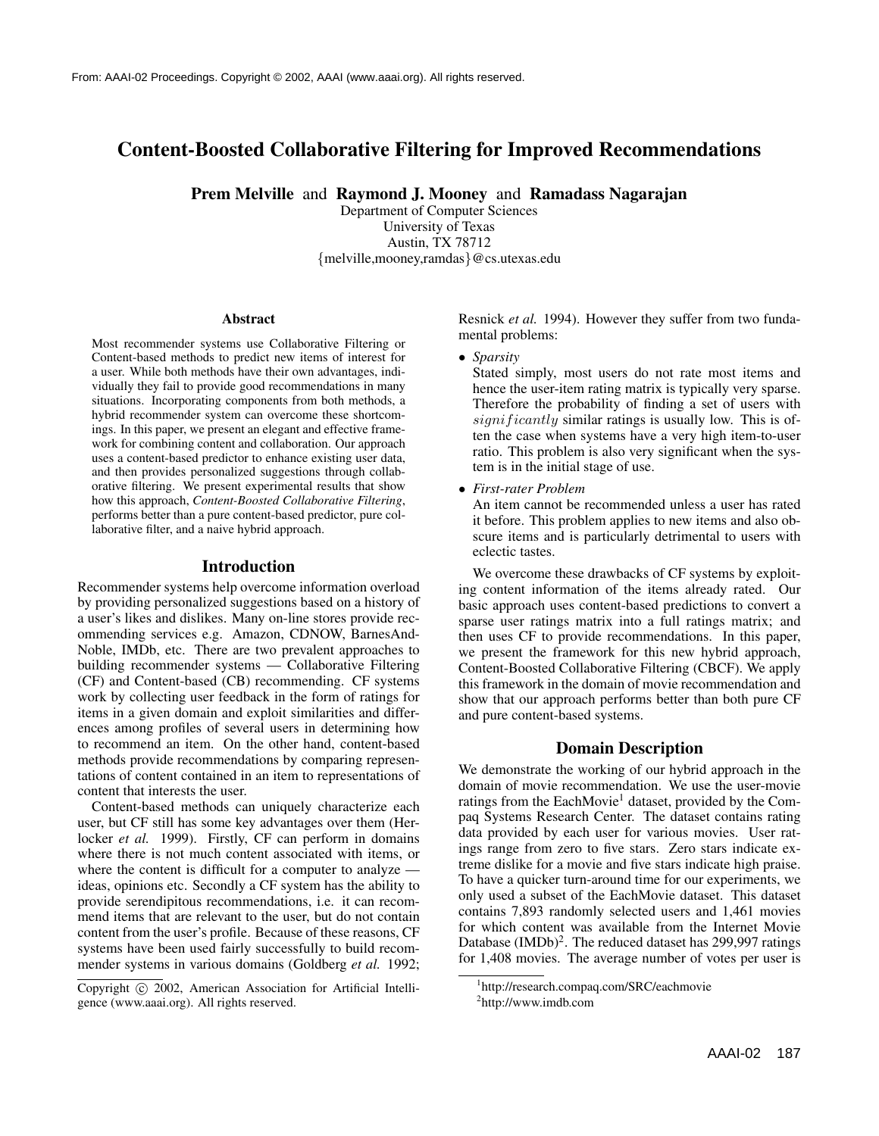# **Content-Boosted Collaborative Filtering for Improved Recommendations**

**Prem Melville** and **Raymond J. Mooney** and **Ramadass Nagarajan**

Department of Computer Sciences University of Texas Austin, TX 78712 {melville,mooney,ramdas}@cs.utexas.edu

#### **Abstract**

Most recommender systems use Collaborative Filtering or Content-based methods to predict new items of interest for a user. While both methods have their own advantages, individually they fail to provide good recommendations in many situations. Incorporating components from both methods, a hybrid recommender system can overcome these shortcomings. In this paper, we present an elegant and effective framework for combining content and collaboration. Our approach uses a content-based predictor to enhance existing user data, and then provides personalized suggestions through collaborative filtering. We present experimental results that show how this approach, *Content-Boosted Collaborative Filtering*, performs better than a pure content-based predictor, pure collaborative filter, and a naive hybrid approach.

#### **Introduction**

Recommender systems help overcome information overload by providing personalized suggestions based on a history of a user's likes and dislikes. Many on-line stores provide recommending services e.g. Amazon, CDNOW, BarnesAnd-Noble, IMDb, etc. There are two prevalent approaches to building recommender systems — Collaborative Filtering (CF) and Content-based (CB) recommending. CF systems work by collecting user feedback in the form of ratings for items in a given domain and exploit similarities and differences among profiles of several users in determining how to recommend an item. On the other hand, content-based methods provide recommendations by comparing representations of content contained in an item to representations of content that interests the user.

Content-based methods can uniquely characterize each user, but CF still has some key advantages over them (Herlocker *et al.* 1999). Firstly, CF can perform in domains where there is not much content associated with items, or where the content is difficult for a computer to analyze ideas, opinions etc. Secondly a CF system has the ability to provide serendipitous recommendations, i.e. it can recommend items that are relevant to the user, but do not contain content from the user's profile. Because of these reasons, CF systems have been used fairly successfully to build recommender systems in various domains (Goldberg *et al.* 1992; Resnick *et al.* 1994). However they suffer from two fundamental problems:

• *Sparsity*

Stated simply, most users do not rate most items and hence the user-item rating matrix is typically very sparse. Therefore the probability of finding a set of users with  $significantly$  similar ratings is usually low. This is often the case when systems have a very high item-to-user ratio. This problem is also very significant when the system is in the initial stage of use.

• *First-rater Problem*

An item cannot be recommended unless a user has rated it before. This problem applies to new items and also obscure items and is particularly detrimental to users with eclectic tastes.

We overcome these drawbacks of CF systems by exploiting content information of the items already rated. Our basic approach uses content-based predictions to convert a sparse user ratings matrix into a full ratings matrix; and then uses CF to provide recommendations. In this paper, we present the framework for this new hybrid approach, Content-Boosted Collaborative Filtering (CBCF). We apply this framework in the domain of movie recommendation and show that our approach performs better than both pure CF and pure content-based systems.

### **Domain Description**

We demonstrate the working of our hybrid approach in the domain of movie recommendation. We use the user-movie ratings from the EachMovie<sup>1</sup> dataset, provided by the Compaq Systems Research Center. The dataset contains rating data provided by each user for various movies. User ratings range from zero to five stars. Zero stars indicate extreme dislike for a movie and five stars indicate high praise. To have a quicker turn-around time for our experiments, we only used a subset of the EachMovie dataset. This dataset contains 7,893 randomly selected users and 1,461 movies for which content was available from the Internet Movie Database (IMDb)<sup>2</sup>. The reduced dataset has 299,997 ratings for 1,408 movies. The average number of votes per user is

Copyright @ 2002, American Association for Artificial Intelligence (www.aaai.org). All rights reserved.

<sup>1</sup> http://research.compaq.com/SRC/eachmovie

<sup>2</sup> http://www.imdb.com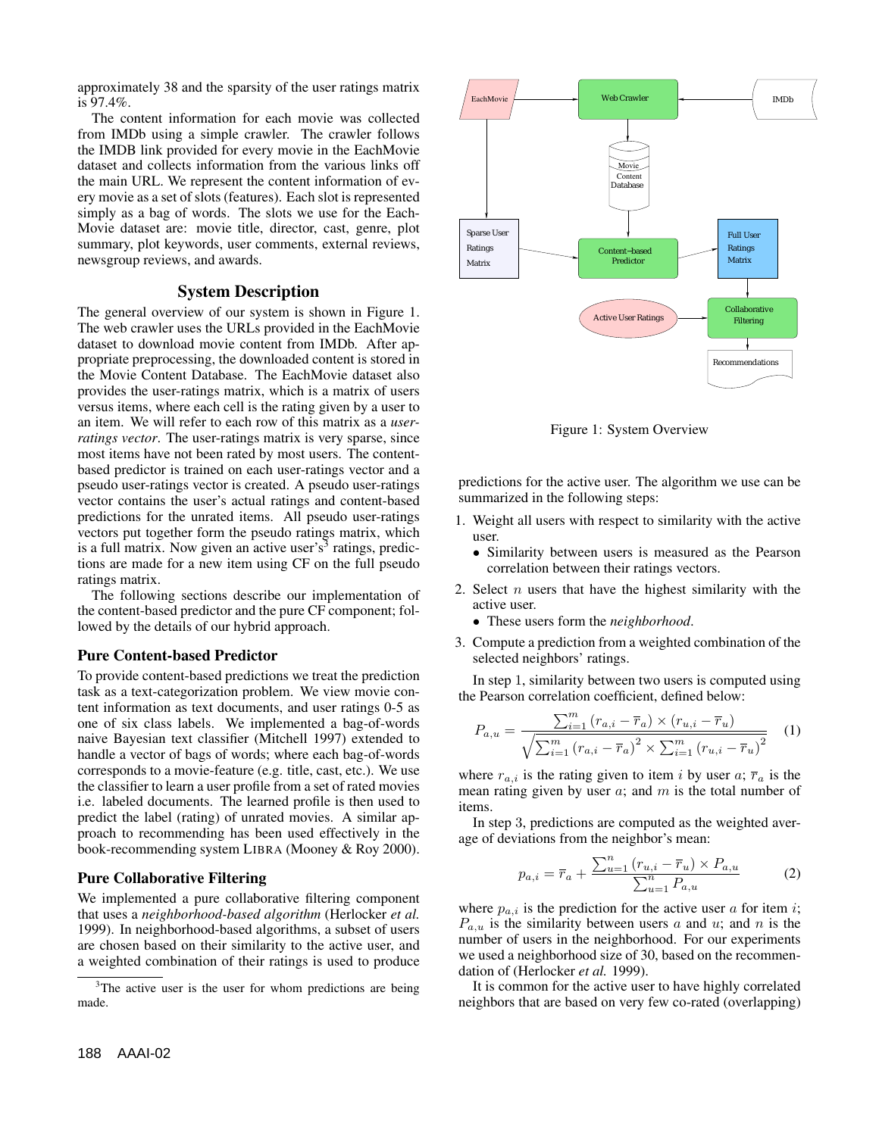approximately 38 and the sparsity of the user ratings matrix is 97.4%.

The content information for each movie was collected from IMDb using a simple crawler. The crawler follows the IMDB link provided for every movie in the EachMovie dataset and collects information from the various links off the main URL. We represent the content information of every movie as a set of slots (features). Each slot is represented simply as a bag of words. The slots we use for the Each-Movie dataset are: movie title, director, cast, genre, plot summary, plot keywords, user comments, external reviews, newsgroup reviews, and awards.

### **System Description**

The general overview of our system is shown in Figure 1. The web crawler uses the URLs provided in the EachMovie dataset to download movie content from IMDb. After appropriate preprocessing, the downloaded content is stored in the Movie Content Database. The EachMovie dataset also provides the user-ratings matrix, which is a matrix of users versus items, where each cell is the rating given by a user to an item. We will refer to each row of this matrix as a *userratings vector*. The user-ratings matrix is very sparse, since most items have not been rated by most users. The contentbased predictor is trained on each user-ratings vector and a pseudo user-ratings vector is created. A pseudo user-ratings vector contains the user's actual ratings and content-based predictions for the unrated items. All pseudo user-ratings vectors put together form the pseudo ratings matrix, which is a full matrix. Now given an active user's<sup>3</sup> ratings, predictions are made for a new item using CF on the full pseudo ratings matrix.

The following sections describe our implementation of the content-based predictor and the pure CF component; followed by the details of our hybrid approach.

### **Pure Content-based Predictor**

To provide content-based predictions we treat the prediction task as a text-categorization problem. We view movie content information as text documents, and user ratings 0-5 as one of six class labels. We implemented a bag-of-words naive Bayesian text classifier (Mitchell 1997) extended to handle a vector of bags of words; where each bag-of-words corresponds to a movie-feature (e.g. title, cast, etc.). We use the classifier to learn a user profile from a set of rated movies i.e. labeled documents. The learned profile is then used to predict the label (rating) of unrated movies. A similar approach to recommending has been used effectively in the book-recommending system LIBRA (Mooney & Roy 2000).

### **Pure Collaborative Filtering**

We implemented a pure collaborative filtering component that uses a *neighborhood-based algorithm* (Herlocker *et al.* 1999). In neighborhood-based algorithms, a subset of users are chosen based on their similarity to the active user, and a weighted combination of their ratings is used to produce



Figure 1: System Overview

predictions for the active user. The algorithm we use can be summarized in the following steps:

- 1. Weight all users with respect to similarity with the active user.
	- Similarity between users is measured as the Pearson correlation between their ratings vectors.
- 2. Select  $n$  users that have the highest similarity with the active user.
	- These users form the *neighborhood*.
- 3. Compute a prediction from a weighted combination of the selected neighbors' ratings.

In step 1, similarity between two users is computed using the Pearson correlation coefficient, defined below:

$$
P_{a,u} = \frac{\sum_{i=1}^{m} (r_{a,i} - \overline{r}_a) \times (r_{u,i} - \overline{r}_u)}{\sqrt{\sum_{i=1}^{m} (r_{a,i} - \overline{r}_a)^2 \times \sum_{i=1}^{m} (r_{u,i} - \overline{r}_u)^2}}
$$
(1)

where  $r_{a,i}$  is the rating given to item i by user a;  $\overline{r}_a$  is the mean rating given by user  $a$ ; and  $m$  is the total number of items.

In step 3, predictions are computed as the weighted average of deviations from the neighbor's mean:

$$
p_{a,i} = \overline{r}_a + \frac{\sum_{u=1}^{n} (r_{u,i} - \overline{r}_u) \times P_{a,u}}{\sum_{u=1}^{n} P_{a,u}}
$$
(2)

where  $p_{a,i}$  is the prediction for the active user a for item i;  $P_{a,u}$  is the similarity between users a and u; and n is the number of users in the neighborhood. For our experiments we used a neighborhood size of 30, based on the recommendation of (Herlocker *et al.* 1999).

It is common for the active user to have highly correlated neighbors that are based on very few co-rated (overlapping)

<sup>&</sup>lt;sup>3</sup>The active user is the user for whom predictions are being made.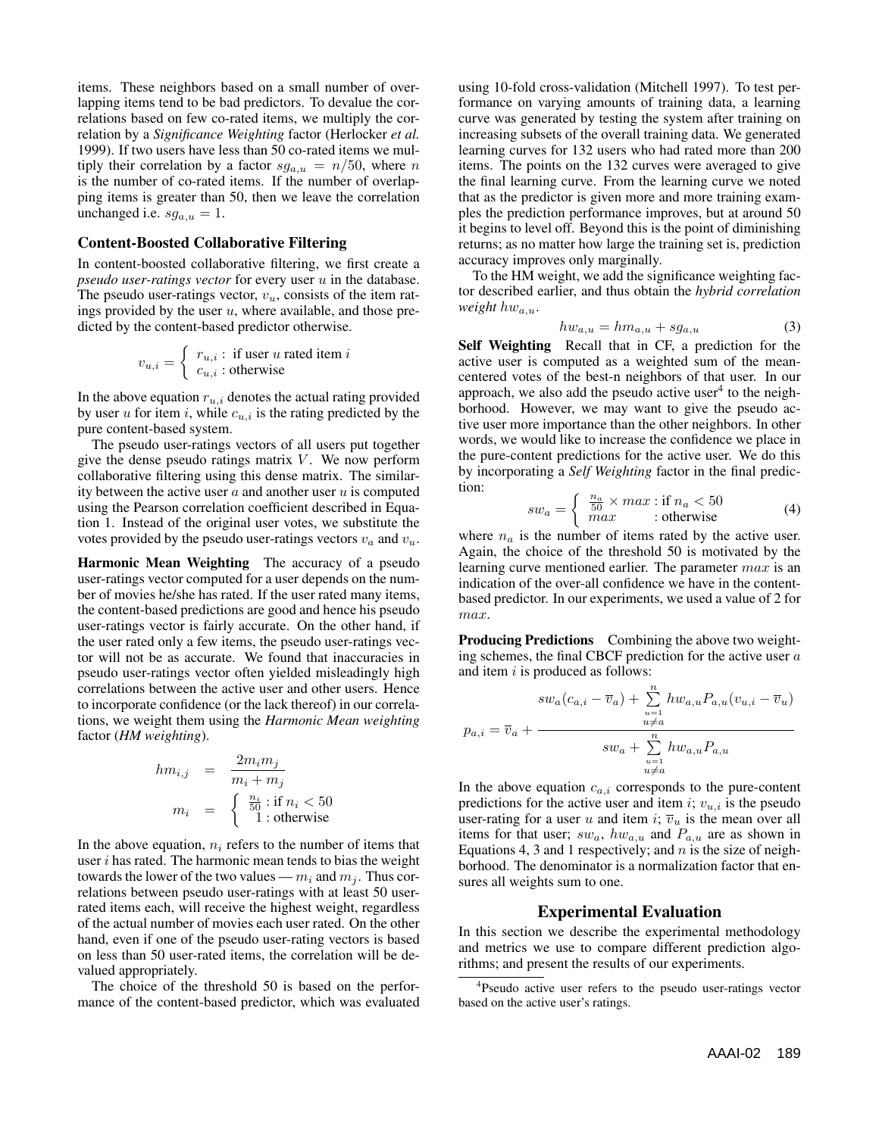items. These neighbors based on a small number of overlapping items tend to be bad predictors. To devalue the correlations based on few co-rated items, we multiply the correlation by a *Significance Weighting* factor (Herlocker *et al.* 1999). If two users have less than 50 co-rated items we multiply their correlation by a factor  $sg_{a,u} = n/50$ , where n is the number of co-rated items. If the number of overlapping items is greater than 50, then we leave the correlation unchanged i.e.  $sg_{a,u} = 1$ .

### **Content-Boosted Collaborative Filtering**

In content-boosted collaborative filtering, we first create a  $pseudo$  user-ratings vector for every user  $u$  in the database. The pseudo user-ratings vector,  $v<sub>u</sub>$ , consists of the item ratings provided by the user  $u$ , where available, and those predicted by the content-based predictor otherwise.

$$
v_{u,i} = \begin{cases} r_{u,i} : \text{ if user } u \text{ rated item } i \\ c_{u,i} : \text{otherwise} \end{cases}
$$

In the above equation  $r_{u,i}$  denotes the actual rating provided by user  $u$  for item  $i$ , while  $c_{u,i}$  is the rating predicted by the pure content-based system.

The pseudo user-ratings vectors of all users put together give the dense pseudo ratings matrix  $V$ . We now perform collaborative filtering using this dense matrix. The similarity between the active user  $a$  and another user  $u$  is computed using the Pearson correlation coefficient described in Equation 1. Instead of the original user votes, we substitute the votes provided by the pseudo user-ratings vectors  $v_a$  and  $v_u$ .

**Harmonic Mean Weighting** The accuracy of a pseudo user-ratings vector computed for a user depends on the number of movies he/she has rated. If the user rated many items, the content-based predictions are good and hence his pseudo user-ratings vector is fairly accurate. On the other hand, if the user rated only a few items, the pseudo user-ratings vector will not be as accurate. We found that inaccuracies in pseudo user-ratings vector often yielded misleadingly high correlations between the active user and other users. Hence to incorporate confidence (or the lack thereof) in our correlations, we weight them using the *Harmonic Mean weighting* factor (*HM weighting*).

$$
hm_{i,j} = \frac{2m_i m_j}{m_i + m_j}
$$
  
\n
$$
m_i = \begin{cases} \frac{n_i}{50} : \text{if } n_i < 50\\ 1 : \text{otherwise} \end{cases}
$$

In the above equation,  $n_i$  refers to the number of items that user  $i$  has rated. The harmonic mean tends to bias the weight towards the lower of the two values —  $m_i$  and  $m_j$ . Thus correlations between pseudo user-ratings with at least 50 userrated items each, will receive the highest weight, regardless of the actual number of movies each user rated. On the other hand, even if one of the pseudo user-rating vectors is based on less than 50 user-rated items, the correlation will be devalued appropriately.

The choice of the threshold 50 is based on the performance of the content-based predictor, which was evaluated using 10-fold cross-validation (Mitchell 1997). To test performance on varying amounts of training data, a learning curve was generated by testing the system after training on increasing subsets of the overall training data. We generated learning curves for 132 users who had rated more than 200 items. The points on the 132 curves were averaged to give the final learning curve. From the learning curve we noted that as the predictor is given more and more training examples the prediction performance improves, but at around 50 it begins to level off. Beyond this is the point of diminishing returns; as no matter how large the training set is, prediction accuracy improves only marginally.

To the HM weight, we add the significance weighting factor described earlier, and thus obtain the *hybrid correlation weight*  $hw_{a,u}$ .

$$
hw_{a,u} = hm_{a,u} + sg_{a,u} \tag{3}
$$

**Self Weighting** Recall that in CF, a prediction for the active user is computed as a weighted sum of the meancentered votes of the best-n neighbors of that user. In our approach, we also add the pseudo active user $<sup>4</sup>$  to the neigh-</sup> borhood. However, we may want to give the pseudo active user more importance than the other neighbors. In other words, we would like to increase the confidence we place in the pure-content predictions for the active user. We do this by incorporating a *Self Weighting* factor in the final prediction:

$$
sw_a = \begin{cases} \frac{n_a}{50} \times max : \text{if } n_a < 50\\ \max : \text{otherwise} \end{cases} \tag{4}
$$

where  $n_a$  is the number of items rated by the active user. Again, the choice of the threshold 50 is motivated by the learning curve mentioned earlier. The parameter max is an indication of the over-all confidence we have in the contentbased predictor. In our experiments, we used a value of 2 for max.

**Producing Predictions** Combining the above two weighting schemes, the final CBCF prediction for the active user  $a$ and item  $i$  is produced as follows:

$$
sw_a(c_{a,i} - \overline{v}_a) + \sum_{\substack{u=1 \ u \neq a}}^{n} hw_{a,u}P_{a,u}(v_{u,i} - \overline{v}_u)
$$

$$
p_{a,i} = \overline{v}_a + \frac{w_{a,i}^2}{\sum_{\substack{u=1 \ u \neq a}}^{n} hw_{a,u}P_{a,u}}
$$

In the above equation  $c_{a,i}$  corresponds to the pure-content predictions for the active user and item i;  $v_{u,i}$  is the pseudo user-rating for a user u and item i;  $\overline{v}_u$  is the mean over all items for that user;  $sw_a$ ,  $hw_{a,u}$  and  $P_{a,u}$  are as shown in Equations 4, 3 and 1 respectively; and  $n$  is the size of neighborhood. The denominator is a normalization factor that ensures all weights sum to one.

#### **Experimental Evaluation**

In this section we describe the experimental methodology and metrics we use to compare different prediction algorithms; and present the results of our experiments.

<sup>&</sup>lt;sup>4</sup>Pseudo active user refers to the pseudo user-ratings vector based on the active user's ratings.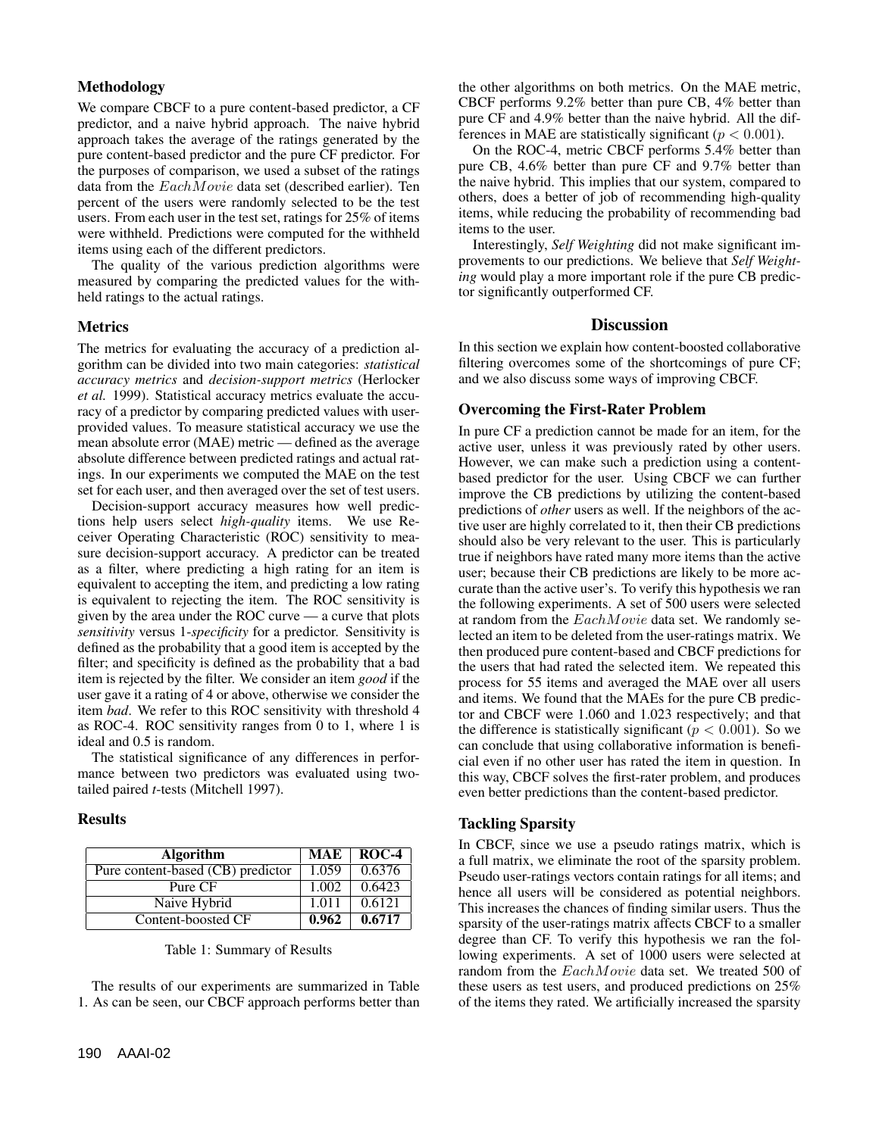## **Methodology**

We compare CBCF to a pure content-based predictor, a CF predictor, and a naive hybrid approach. The naive hybrid approach takes the average of the ratings generated by the pure content-based predictor and the pure CF predictor. For the purposes of comparison, we used a subset of the ratings data from the EachMovie data set (described earlier). Ten percent of the users were randomly selected to be the test users. From each user in the test set, ratings for 25% of items were withheld. Predictions were computed for the withheld items using each of the different predictors.

The quality of the various prediction algorithms were measured by comparing the predicted values for the withheld ratings to the actual ratings.

### **Metrics**

The metrics for evaluating the accuracy of a prediction algorithm can be divided into two main categories: *statistical accuracy metrics* and *decision-support metrics* (Herlocker *et al.* 1999). Statistical accuracy metrics evaluate the accuracy of a predictor by comparing predicted values with userprovided values. To measure statistical accuracy we use the mean absolute error (MAE) metric — defined as the average absolute difference between predicted ratings and actual ratings. In our experiments we computed the MAE on the test set for each user, and then averaged over the set of test users.

Decision-support accuracy measures how well predictions help users select *high-quality* items. We use Receiver Operating Characteristic (ROC) sensitivity to measure decision-support accuracy. A predictor can be treated as a filter, where predicting a high rating for an item is equivalent to accepting the item, and predicting a low rating is equivalent to rejecting the item. The ROC sensitivity is given by the area under the ROC curve — a curve that plots *sensitivity* versus 1-*specificity* for a predictor. Sensitivity is defined as the probability that a good item is accepted by the filter; and specificity is defined as the probability that a bad item is rejected by the filter. We consider an item *good* if the user gave it a rating of 4 or above, otherwise we consider the item *bad*. We refer to this ROC sensitivity with threshold 4 as ROC-4. ROC sensitivity ranges from 0 to 1, where 1 is ideal and 0.5 is random.

The statistical significance of any differences in performance between two predictors was evaluated using twotailed paired *t*-tests (Mitchell 1997).

### **Results**

| <b>Algorithm</b>                  | <b>MAE</b> | ROC-4  |
|-----------------------------------|------------|--------|
| Pure content-based (CB) predictor | 1.059      | 0.6376 |
| Pure CF                           | 1.002      | 0.6423 |
| Naive Hybrid                      | 1.011      | 0.6121 |
| Content-boosted CF                | 0.962      | 0.6717 |

## Table 1: Summary of Results

The results of our experiments are summarized in Table 1. As can be seen, our CBCF approach performs better than

the other algorithms on both metrics. On the MAE metric, CBCF performs 9.2% better than pure CB, 4% better than pure CF and 4.9% better than the naive hybrid. All the differences in MAE are statistically significant ( $p < 0.001$ ).

On the ROC-4, metric CBCF performs 5.4% better than pure CB, 4.6% better than pure CF and 9.7% better than the naive hybrid. This implies that our system, compared to others, does a better of job of recommending high-quality items, while reducing the probability of recommending bad items to the user.

Interestingly, *Self Weighting* did not make significant improvements to our predictions. We believe that *Self Weighting* would play a more important role if the pure CB predictor significantly outperformed CF.

# **Discussion**

In this section we explain how content-boosted collaborative filtering overcomes some of the shortcomings of pure CF; and we also discuss some ways of improving CBCF.

# **Overcoming the First-Rater Problem**

In pure CF a prediction cannot be made for an item, for the active user, unless it was previously rated by other users. However, we can make such a prediction using a contentbased predictor for the user. Using CBCF we can further improve the CB predictions by utilizing the content-based predictions of *other* users as well. If the neighbors of the active user are highly correlated to it, then their CB predictions should also be very relevant to the user. This is particularly true if neighbors have rated many more items than the active user; because their CB predictions are likely to be more accurate than the active user's. To verify this hypothesis we ran the following experiments. A set of 500 users were selected at random from the EachMovie data set. We randomly selected an item to be deleted from the user-ratings matrix. We then produced pure content-based and CBCF predictions for the users that had rated the selected item. We repeated this process for 55 items and averaged the MAE over all users and items. We found that the MAEs for the pure CB predictor and CBCF were 1.060 and 1.023 respectively; and that the difference is statistically significant ( $p < 0.001$ ). So we can conclude that using collaborative information is beneficial even if no other user has rated the item in question. In this way, CBCF solves the first-rater problem, and produces even better predictions than the content-based predictor.

# **Tackling Sparsity**

In CBCF, since we use a pseudo ratings matrix, which is a full matrix, we eliminate the root of the sparsity problem. Pseudo user-ratings vectors contain ratings for all items; and hence all users will be considered as potential neighbors. This increases the chances of finding similar users. Thus the sparsity of the user-ratings matrix affects CBCF to a smaller degree than CF. To verify this hypothesis we ran the following experiments. A set of 1000 users were selected at random from the EachMovie data set. We treated 500 of these users as test users, and produced predictions on 25% of the items they rated. We artificially increased the sparsity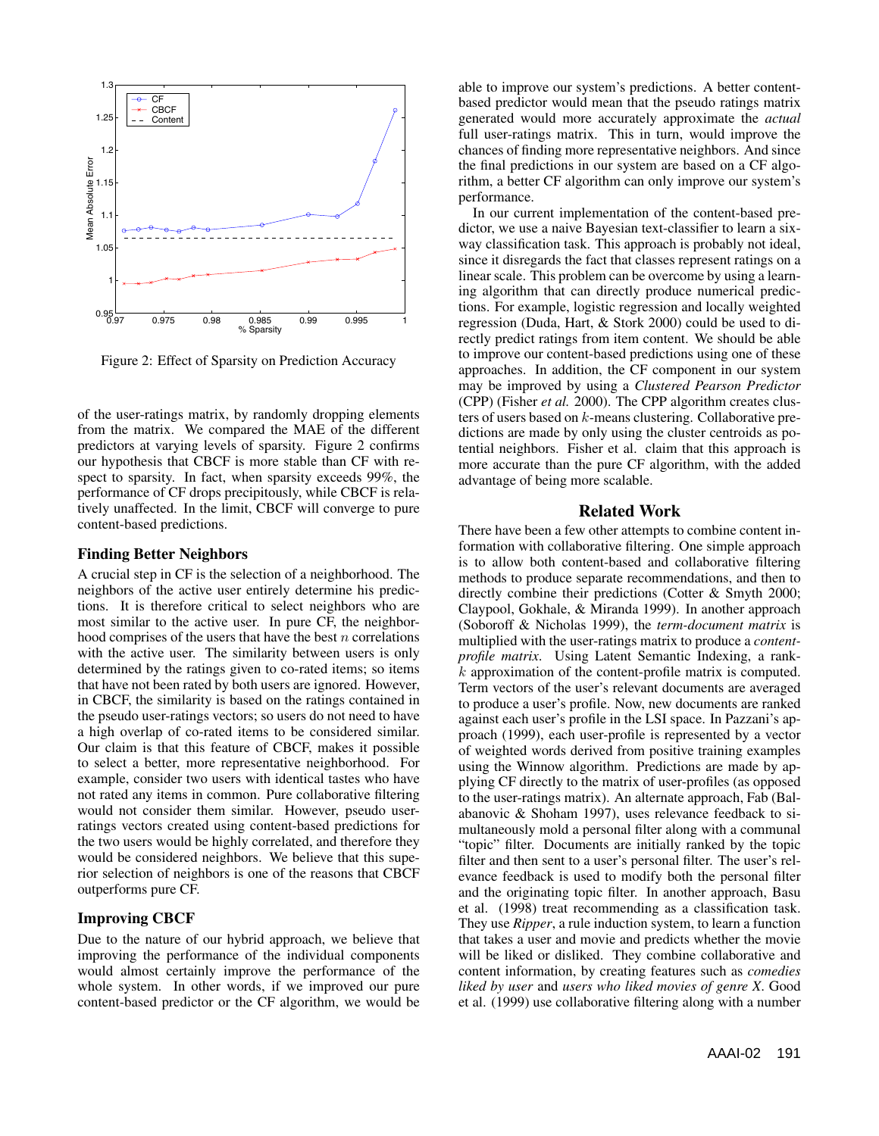

Figure 2: Effect of Sparsity on Prediction Accuracy

of the user-ratings matrix, by randomly dropping elements from the matrix. We compared the MAE of the different predictors at varying levels of sparsity. Figure 2 confirms our hypothesis that CBCF is more stable than CF with respect to sparsity. In fact, when sparsity exceeds 99%, the performance of CF drops precipitously, while CBCF is relatively unaffected. In the limit, CBCF will converge to pure content-based predictions.

#### **Finding Better Neighbors**

A crucial step in CF is the selection of a neighborhood. The neighbors of the active user entirely determine his predictions. It is therefore critical to select neighbors who are most similar to the active user. In pure CF, the neighborhood comprises of the users that have the best  $n$  correlations with the active user. The similarity between users is only determined by the ratings given to co-rated items; so items that have not been rated by both users are ignored. However, in CBCF, the similarity is based on the ratings contained in the pseudo user-ratings vectors; so users do not need to have a high overlap of co-rated items to be considered similar. Our claim is that this feature of CBCF, makes it possible to select a better, more representative neighborhood. For example, consider two users with identical tastes who have not rated any items in common. Pure collaborative filtering would not consider them similar. However, pseudo userratings vectors created using content-based predictions for the two users would be highly correlated, and therefore they would be considered neighbors. We believe that this superior selection of neighbors is one of the reasons that CBCF outperforms pure CF.

### **Improving CBCF**

Due to the nature of our hybrid approach, we believe that improving the performance of the individual components would almost certainly improve the performance of the whole system. In other words, if we improved our pure content-based predictor or the CF algorithm, we would be able to improve our system's predictions. A better contentbased predictor would mean that the pseudo ratings matrix generated would more accurately approximate the *actual* full user-ratings matrix. This in turn, would improve the chances of finding more representative neighbors. And since the final predictions in our system are based on a CF algorithm, a better CF algorithm can only improve our system's performance.

In our current implementation of the content-based predictor, we use a naive Bayesian text-classifier to learn a sixway classification task. This approach is probably not ideal, since it disregards the fact that classes represent ratings on a linear scale. This problem can be overcome by using a learning algorithm that can directly produce numerical predictions. For example, logistic regression and locally weighted regression (Duda, Hart, & Stork 2000) could be used to directly predict ratings from item content. We should be able to improve our content-based predictions using one of these approaches. In addition, the CF component in our system may be improved by using a *Clustered Pearson Predictor* (CPP) (Fisher *et al.* 2000). The CPP algorithm creates clusters of users based on k-means clustering. Collaborative predictions are made by only using the cluster centroids as potential neighbors. Fisher et al. claim that this approach is more accurate than the pure CF algorithm, with the added advantage of being more scalable.

### **Related Work**

There have been a few other attempts to combine content information with collaborative filtering. One simple approach is to allow both content-based and collaborative filtering methods to produce separate recommendations, and then to directly combine their predictions (Cotter & Smyth 2000; Claypool, Gokhale, & Miranda 1999). In another approach (Soboroff & Nicholas 1999), the *term-document matrix* is multiplied with the user-ratings matrix to produce a *contentprofile matrix*. Using Latent Semantic Indexing, a rankk approximation of the content-profile matrix is computed. Term vectors of the user's relevant documents are averaged to produce a user's profile. Now, new documents are ranked against each user's profile in the LSI space. In Pazzani's approach (1999), each user-profile is represented by a vector of weighted words derived from positive training examples using the Winnow algorithm. Predictions are made by applying CF directly to the matrix of user-profiles (as opposed to the user-ratings matrix). An alternate approach, Fab (Balabanovic & Shoham 1997), uses relevance feedback to simultaneously mold a personal filter along with a communal "topic" filter. Documents are initially ranked by the topic filter and then sent to a user's personal filter. The user's relevance feedback is used to modify both the personal filter and the originating topic filter. In another approach, Basu et al. (1998) treat recommending as a classification task. They use *Ripper*, a rule induction system, to learn a function that takes a user and movie and predicts whether the movie will be liked or disliked. They combine collaborative and content information, by creating features such as *comedies liked by user* and *users who liked movies of genre X*. Good et al. (1999) use collaborative filtering along with a number